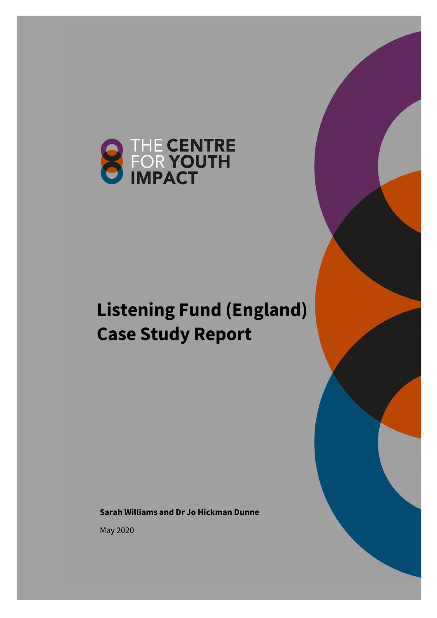

# **Listening Fund (England) Case Study Report**

**Sarah Williams and Dr Jo Hickman Dunne**

May 2020

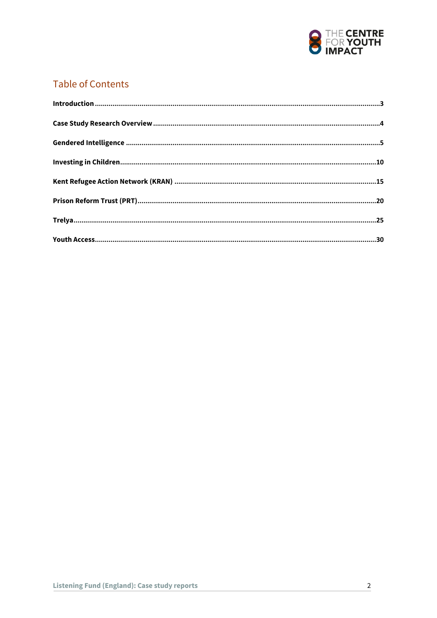

# **Table of Contents**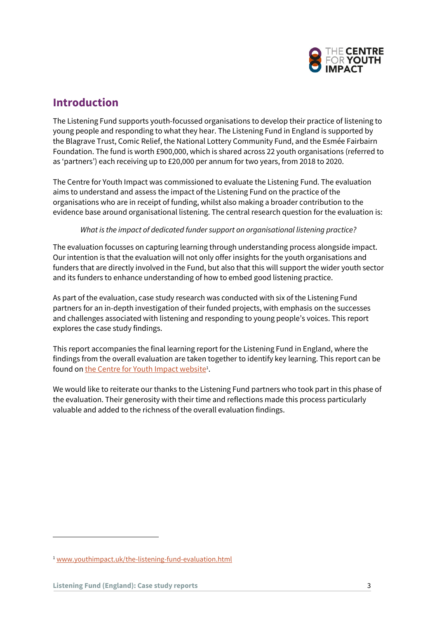

# <span id="page-2-0"></span>**Introduction**

The Listening Fund supports youth-focussed organisations to develop their practice of listening to young people and responding to what they hear. The Listening Fund in England is supported by the Blagrave Trust, Comic Relief, the National Lottery Community Fund, and the Esmée Fairbairn Foundation. The fund is worth £900,000, which is shared across 22 youth organisations (referred to as 'partners') each receiving up to £20,000 per annum for two years, from 2018 to 2020.

The Centre for Youth Impact was commissioned to evaluate the Listening Fund. The evaluation aims to understand and assess the impact of the Listening Fund on the practice of the organisations who are in receipt of funding, whilst also making a broader contribution to the evidence base around organisational listening. The central research question for the evaluation is:

*What is the impact of dedicated funder support on organisational listening practice?*

The evaluation focusses on capturing learning through understanding process alongside impact. Our intention is that the evaluation will not only offer insights for the youth organisations and funders that are directly involved in the Fund, but also that this will support the wider youth sector and its funders to enhance understanding of how to embed good listening practice.

As part of the evaluation, case study research was conducted with six of the Listening Fund partners for an in-depth investigation of their funded projects, with emphasis on the successes and challenges associated with listening and responding to young people's voices. This report explores the case study findings.

This report accompanies the final learning report for the Listening Fund in England, where the findings from the overall evaluation are taken together to identify key learning. This report can be found on <u>the Centre for Youth Impact website</u>'.

We would like to reiterate our thanks to the Listening Fund partners who took part in this phase of the evaluation. Their generosity with their time and reflections made this process particularly valuable and added to the richness of the overall evaluation findings.

<sup>1</sup> [www.youthimpact.uk/the-listening-fund-evaluation.html](http://www.youthimpact.uk/the-listening-fund-evaluation.html)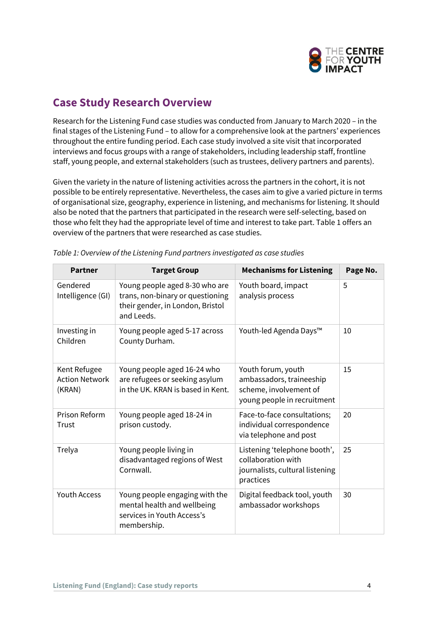

# <span id="page-3-0"></span>**Case Study Research Overview**

Research for the Listening Fund case studies was conducted from January to March 2020 – in the final stages of the Listening Fund – to allow for a comprehensive look at the partners' experiences throughout the entire funding period. Each case study involved a site visit that incorporated interviews and focus groups with a range of stakeholders, including leadership staff, frontline staff, young people, and external stakeholders (such as trustees, delivery partners and parents).

Given the variety in the nature of listening activities across the partners in the cohort, it is not possible to be entirely representative. Nevertheless, the cases aim to give a varied picture in terms of organisational size, geography, experience in listening, and mechanisms for listening. It should also be noted that the partners that participated in the research were self-selecting, based on those who felt they had the appropriate level of time and interest to take part. Table 1 offers an overview of the partners that were researched as case studies.

| <b>Partner</b>                                  | <b>Target Group</b>                                                                                                  | <b>Mechanisms for Listening</b>                                                                         | Page No. |
|-------------------------------------------------|----------------------------------------------------------------------------------------------------------------------|---------------------------------------------------------------------------------------------------------|----------|
| Gendered<br>Intelligence (GI)                   | Young people aged 8-30 who are<br>trans, non-binary or questioning<br>their gender, in London, Bristol<br>and Leeds. | Youth board, impact<br>analysis process                                                                 | 5        |
| Investing in<br>Children                        | Young people aged 5-17 across<br>County Durham.                                                                      | Youth-led Agenda Days™                                                                                  | 10       |
| Kent Refugee<br><b>Action Network</b><br>(KRAN) | Young people aged 16-24 who<br>are refugees or seeking asylum<br>in the UK. KRAN is based in Kent.                   | Youth forum, youth<br>ambassadors, traineeship<br>scheme, involvement of<br>young people in recruitment | 15       |
| Prison Reform<br>Trust                          | Young people aged 18-24 in<br>prison custody.                                                                        | Face-to-face consultations;<br>individual correspondence<br>via telephone and post                      | 20       |
| Trelya                                          | Young people living in<br>disadvantaged regions of West<br>Cornwall.                                                 | Listening 'telephone booth',<br>collaboration with<br>journalists, cultural listening<br>practices      | 25       |
| <b>Youth Access</b>                             | Young people engaging with the<br>mental health and wellbeing<br>services in Youth Access's<br>membership.           | Digital feedback tool, youth<br>ambassador workshops                                                    | 30       |

| Table 1: Overview of the Listening Fund partners investigated as case studies |  |  |
|-------------------------------------------------------------------------------|--|--|
|                                                                               |  |  |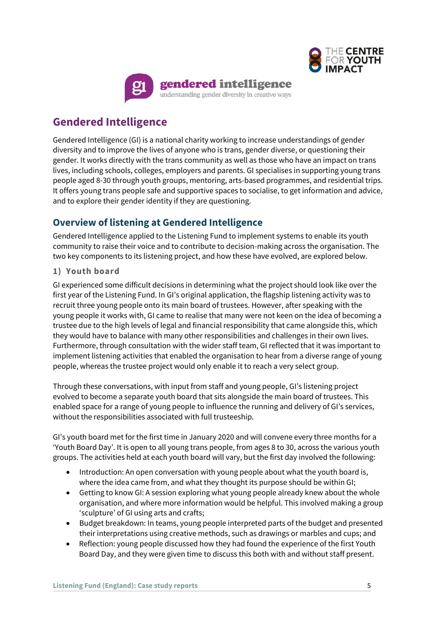



# <span id="page-4-0"></span>**Gendered Intelligence**

Gendered Intelligence (GI) is a national charity working to increase understandings of gender diversity and to improve the lives of anyone who is trans, gender diverse, or questioning their gender. It works directly with the trans community as well as those who have an impact on trans lives, including schools, colleges, employers and parents. GI specialises in supporting young trans people aged 8-30 through youth groups, mentoring, arts-based programmes, and residential trips. It offers young trans people safe and supportive spaces to socialise, to get information and advice, and to explore their gender identity if they are questioning.

# **Overview of listening at Gendered Intelligence**

Gendered Intelligence applied to the Listening Fund to implement systems to enable its youth community to raise their voice and to contribute to decision-making across the organisation. The two key components to its listening project, and how these have evolved, are explored below.

#### **1) Youth board**

GI experienced some difficult decisions in determining what the project should look like over the first year of the Listening Fund. In GI's original application, the flagship listening activity was to recruit three young people onto its main board of trustees. However, after speaking with the young people it works with, GI came to realise that many were not keen on the idea of becoming a trustee due to the high levels of legal and financial responsibility that came alongside this, which they would have to balance with many other responsibilities and challenges in their own lives. Furthermore, through consultation with the wider staff team, GI reflected that it was important to implement listening activities that enabled the organisation to hear from a diverse range of young people, whereas the trustee project would only enable it to reach a very select group.

Through these conversations, with input from staff and young people, GI's listening project evolved to become a separate youth board that sits alongside the main board of trustees. This enabled space for a range of young people to influence the running and delivery of GI's services, without the responsibilities associated with full trusteeship.

GI's youth board met for the first time in January 2020 and will convene every three months for a 'Youth Board Day'. It is open to all young trans people, from ages 8 to 30, across the various youth groups. The activities held at each youth board will vary, but the first day involved the following:

- Introduction: An open conversation with young people about what the youth board is, where the idea came from, and what they thought its purpose should be within GI;
- Getting to know GI: A session exploring what young people already knew about the whole organisation, and where more information would be helpful. This involved making a group 'sculpture' of GI using arts and crafts;
- Budget breakdown: In teams, young people interpreted parts of the budget and presented their interpretations using creative methods, such as drawings or marbles and cups; and
- Reflection: young people discussed how they had found the experience of the first Youth Board Day, and they were given time to discuss this both with and without staff present.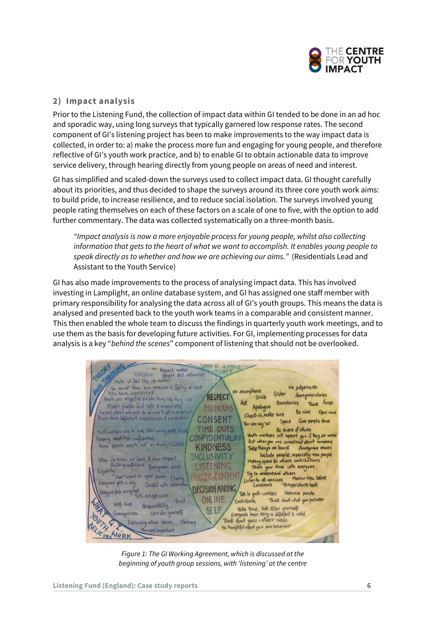

#### **2) Impact analysis**

Prior to the Listening Fund, the collection of impact data within GI tended to be done in an ad hoc and sporadic way, using long surveys that typically garnered low response rates. The second component of GI's listening project has been to make improvements to the way impact data is collected, in order to: a) make the process more fun and engaging for young people, and therefore reflective of GI's youth work practice, and b) to enable GI to obtain actionable data to improve service delivery, through hearing directly from young people on areas of need and interest.

GI has simplified and scaled-down the surveys used to collect impact data. GI thought carefully about its priorities, and thus decided to shape the surveys around its three core youth work aims: to build pride, to increase resilience, and to reduce social isolation. The surveys involved young people rating themselves on each of these factors on a scale of one to five, with the option to add further commentary. The data was collected systematically on a three-month basis.

*"Impact analysis is now a more enjoyable process for young people, whilst also collecting information that gets to the heart of what we want to accomplish. It enables young people to speak directly as to whether and how we are achieving our aims."* (Residentials Lead and Assistant to the Youth Service)

GI has also made improvements to the process of analysing impact data. This has involved investing in Lamplight, an online database system, and GI has assigned one staff member with primary responsibility for analysing the data across all of GI's youth groups. This means the data is analysed and presented back to the youth work teams in a comparable and consistent manner. This then enabled the whole team to discuss the findings in quarterly youth work meetings, and to use them as the basis for developing future activities. For GI, implementing processes for data analysis is a key "*behind the scenes*" component of listening that should not be overlooked.

Mate us feel like we make the delevered water<br>Mate us feel like we matter<br>In gener Mood how some one is Geling or what **TALLARD** You never know how some one is feeling or what No judgements No assumptions they have experienced. Listen Anonymise stories **RESPECT** Smile People are respected for who they say they are Think Accept Boundaries Makes people feel safe & compartable<br>Consent allows exergene to be sure & get in or get out. PRONOUNS Apologice **Be vice** Open mind Check-in, make sure People have different experiences & sensitivities **CONSENT** Space Give people Hime You can say 'no' by can say in the same of all supple the people when<br>Youth workers will support you if they are world<br>Act when you are concerned about someone<br>Take things on board Anonymise staries TIME OUTS Youth workers role to look after young people at risk Keeping identities confidential CONFIDENTIALITY Some people aren't but as trans/LGBQ+ **KINDNESS** Take things on board Anonymise stories Include people, especially new people<br>g space for chees contributions **INCLUSIVITY** When we listen we learn & show respect Meling space for chees contribution<br>Share your time with everyone Building confidence Everyone's voice LISTENING Share your time can exergence<br>Try to understand others<br>isten to all opinions montion typic before Don't want to upset people Clarity Try to understand others<br>Listen to all opinions mation topic be<br>Consensus Temperature test RICONTEN Everyone gets a say Careful with informat one feels accepted<br>Self-acceptance **DECISION MAKING** Talk to youth workers Welcome people **ONLINE** Think about what you post online Trust Contribute Take time, look after yourself<br>Think about yours struy is different to void Sell-love Responsibility SELF/ Care for yourself Consequences Welcoming others ideas Harmony Be thoughful about your own behaviour ou are important VESNORK

*Figure 1: The GI Working Agreement, which is discussed at the beginning of youth group sessions, with 'listening' at the centre*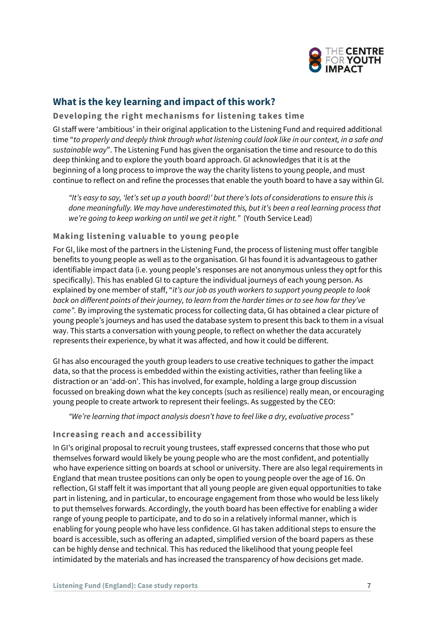

# **What is the key learning and impact of this work?**

#### **Developing the right mechanisms for listening takes time**

GI staff were 'ambitious' in their original application to the Listening Fund and required additional time "*to properly and deeply think through what listening could look like in our context, in a safe and sustainable way*". The Listening Fund has given the organisation the time and resource to do this deep thinking and to explore the youth board approach. GI acknowledges that it is at the beginning of a long process to improve the way the charity listens to young people, and must continue to reflect on and refine the processes that enable the youth board to have a say within GI.

*"It's easy to say, 'let's set up a youth board!' but there's lots of considerations to ensure this is done meaningfully. We may have underestimated this, but it's been a real learning process that we're going to keep working on until we get it right."* (Youth Service Lead)

#### **Making listening valuable to young people**

For GI, like most of the partners in the Listening Fund, the process of listening must offer tangible benefits to young people as well as to the organisation. GI has found it is advantageous to gather identifiable impact data (i.e. young people's responses are not anonymous unless they opt for this specifically). This has enabled GI to capture the individual journeys of each young person. As explained by one member of staff, "*it's our job as youth workers to support young people to look back on different points of their journey, to learn from the harder times or to see how far they've come".* By improving the systematic process for collecting data, GI has obtained a clear picture of young people's journeys and has used the database system to present this back to them in a visual way. This starts a conversation with young people, to reflect on whether the data accurately represents their experience, by what it was affected, and how it could be different.

GI has also encouraged the youth group leaders to use creative techniques to gather the impact data, so that the process is embedded within the existing activities, rather than feeling like a distraction or an 'add-on'. This has involved, for example, holding a large group discussion focussed on breaking down what the key concepts (such as resilience) really mean, or encouraging young people to create artwork to represent their feelings. As suggested by the CEO:

*"We're learning that impact analysis doesn't have to feel like a dry, evaluative process"* 

#### **Increasing reach and accessibility**

In GI's original proposal to recruit young trustees, staff expressed concerns that those who put themselves forward would likely be young people who are the most confident, and potentially who have experience sitting on boards at school or university. There are also legal requirements in England that mean trustee positions can only be open to young people over the age of 16. On reflection, GI staff felt it was important that all young people are given equal opportunities to take part in listening, and in particular, to encourage engagement from those who would be less likely to put themselves forwards. Accordingly, the youth board has been effective for enabling a wider range of young people to participate, and to do so in a relatively informal manner, which is enabling for young people who have less confidence. GI has taken additional steps to ensure the board is accessible, such as offering an adapted, simplified version of the board papers as these can be highly dense and technical. This has reduced the likelihood that young people feel intimidated by the materials and has increased the transparency of how decisions get made.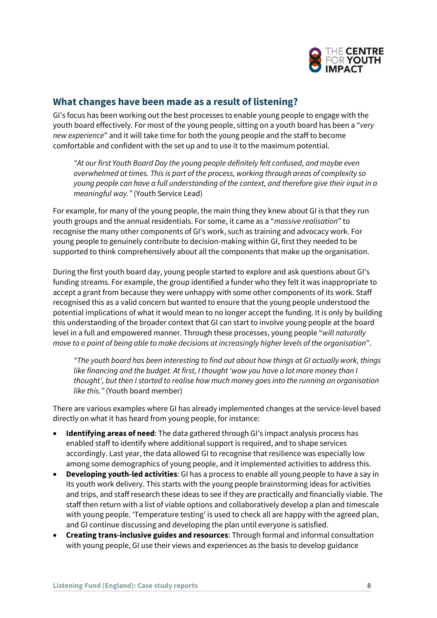

# **What changes have been made as a result of listening?**

GI's focus has been working out the best processes to enable young people to engage with the youth board effectively. For most of the young people, sitting on a youth board has been a "*very new experience*" and it will take time for both the young people and the staff to become comfortable and confident with the set up and to use it to the maximum potential.

*"At our first Youth Board Day the young people definitely felt confused, and maybe even overwhelmed at times. This is part of the process, working through areas of complexity so young people can have a full understanding of the context, and therefore give their input in a meaningful way."* (Youth Service Lead)

For example, for many of the young people, the main thing they knew about GI is that they run youth groups and the annual residentials. For some, it came as a "*massive realisation*" to recognise the many other components of GI's work, such as training and advocacy work. For young people to genuinely contribute to decision-making within GI, first they needed to be supported to think comprehensively about all the components that make up the organisation.

During the first youth board day, young people started to explore and ask questions about GI's funding streams. For example, the group identified a funder who they felt it was inappropriate to accept a grant from because they were unhappy with some other components of its work. Staff recognised this as a valid concern but wanted to ensure that the young people understood the potential implications of what it would mean to no longer accept the funding. It is only by building this understanding of the broader context that GI can start to involve young people at the board level in a full and empowered manner. Through these processes, young people "*will naturally move to a point of being able to make decisions at increasingly higher levels of the organisation*".

*"The youth board has been interesting to find out about how things at GI actually work, things like financing and the budget. At first, I thought 'wow you have a lot more money than I thought', but then I started to realise how much money goes into the running an organisation like this."* (Youth board member)

There are various examples where GI has already implemented changes at the service-level based directly on what it has heard from young people, for instance:

- **Identifying areas of need**: The data gathered through GI's impact analysis process has enabled staff to identify where additional support is required, and to shape services accordingly. Last year, the data allowed GI to recognise that resilience was especially low among some demographics of young people, and it implemented activities to address this.
- **Developing youth-led activities**: GI has a process to enable all young people to have a say in its youth work delivery. This starts with the young people brainstorming ideas for activities and trips, and staff research these ideas to see if they are practically and financially viable. The staff then return with a list of viable options and collaboratively develop a plan and timescale with young people. 'Temperature testing' is used to check all are happy with the agreed plan, and GI continue discussing and developing the plan until everyone is satisfied.
- **Creating trans-inclusive guides and resources**: Through formal and informal consultation with young people, GI use their views and experiences as the basis to develop guidance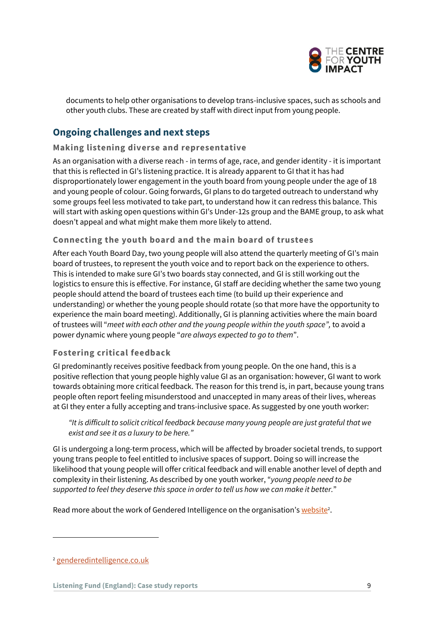

documents to help other organisations to develop trans-inclusive spaces, such as schools and other youth clubs. These are created by staff with direct input from young people.

# **Ongoing challenges and next steps**

#### **Making listening diverse and representative**

As an organisation with a diverse reach - in terms of age, race, and gender identity - it is important that this is reflected in GI's listening practice. It is already apparent to GI that it has had disproportionately lower engagement in the youth board from young people under the age of 18 and young people of colour. Going forwards, GI plans to do targeted outreach to understand why some groups feel less motivated to take part, to understand how it can redress this balance. This will start with asking open questions within GI's Under-12s group and the BAME group, to ask what doesn't appeal and what might make them more likely to attend.

#### **Connecting the youth board and the main board of trustees**

After each Youth Board Day, two young people will also attend the quarterly meeting of GI's main board of trustees, to represent the youth voice and to report back on the experience to others. This is intended to make sure GI's two boards stay connected, and GI is still working out the logistics to ensure this is effective. For instance, GI staff are deciding whether the same two young people should attend the board of trustees each time (to build up their experience and understanding) or whether the young people should rotate (so that more have the opportunity to experience the main board meeting). Additionally, GI is planning activities where the main board of trustees will "*meet with each other and the young people within the youth space",* to avoid a power dynamic where young people "*are always expected to go to them*".

#### **Fostering critical feedback**

GI predominantly receives positive feedback from young people. On the one hand, this is a positive reflection that young people highly value GI as an organisation: however, GI want to work towards obtaining more critical feedback. The reason for this trend is, in part, because young trans people often report feeling misunderstood and unaccepted in many areas of their lives, whereas at GI they enter a fully accepting and trans-inclusive space. As suggested by one youth worker:

*"It is difficult to solicit critical feedback because many young people are just grateful that we exist and see it as a luxury to be here."*

GI is undergoing a long-term process, which will be affected by broader societal trends, to support young trans people to feel entitled to inclusive spaces of support. Doing so will increase the likelihood that young people will offer critical feedback and will enable another level of depth and complexity in their listening. As described by one youth worker, "*young people need to be supported to feel they deserve this space in order to tell us how we can make it better.*"

Read more about the work of Gendered Intelligence on the organisation's website<sup>2</sup>.

<sup>2</sup> [genderedintelligence.co.uk](http://genderedintelligence.co.uk/)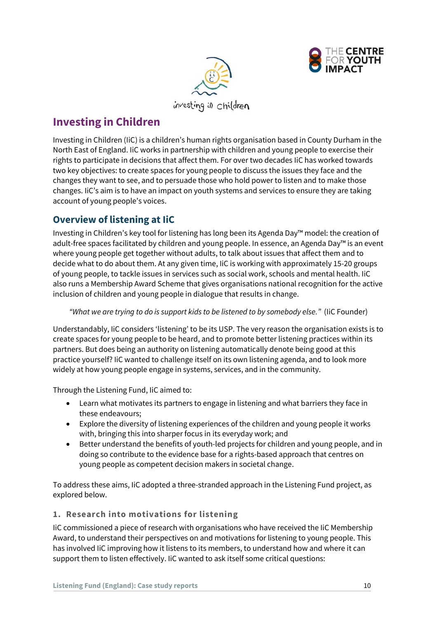



<span id="page-9-0"></span>**Investing in Children**

Investing in Children (IiC) is a children's human rights organisation based in County Durham in the North East of England. IiC works in partnership with children and young people to exercise their rights to participate in decisions that affect them. For over two decades IiC has worked towards two key objectives: to create spaces for young people to discuss the issues they face and the changes they want to see, and to persuade those who hold power to listen and to make those changes. IiC's aim is to have an impact on youth systems and services to ensure they are taking account of young people's voices.

# **Overview of listening at IiC**

Investing in Children's key tool for listening has long been its Agenda Day™ model: the creation of adult-free spaces facilitated by children and young people. In essence, an Agenda Day™ is an event where young people get together without adults, to talk about issues that affect them and to decide what to do about them. At any given time, IiC is working with approximately 15-20 groups of young people, to tackle issues in services such as social work, schools and mental health. IiC also runs a Membership Award Scheme that gives organisations national recognition for the active inclusion of children and young people in dialogue that results in change.

*"What we are trying to do is support kids to be listened to by somebody else."* (IiC Founder)

Understandably, IiC considers 'listening' to be its USP. The very reason the organisation exists is to create spaces for young people to be heard, and to promote better listening practices within its partners. But does being an authority on listening automatically denote being good at this practice yourself? IiC wanted to challenge itself on its own listening agenda, and to look more widely at how young people engage in systems, services, and in the community.

Through the Listening Fund, IiC aimed to:

- Learn what motivates its partners to engage in listening and what barriers they face in these endeavours;
- Explore the diversity of listening experiences of the children and young people it works with, bringing this into sharper focus in its everyday work; and
- Better understand the benefits of youth-led projects for children and young people, and in doing so contribute to the evidence base for a rights-based approach that centres on young people as competent decision makers in societal change.

To address these aims, IiC adopted a three-stranded approach in the Listening Fund project, as explored below.

#### **1. Research into motivations for listening**

IiC commissioned a piece of research with organisations who have received the IiC Membership Award, to understand their perspectives on and motivations for listening to young people. This has involved IiC improving how it listens to its members, to understand how and where it can support them to listen effectively. IiC wanted to ask itself some critical questions: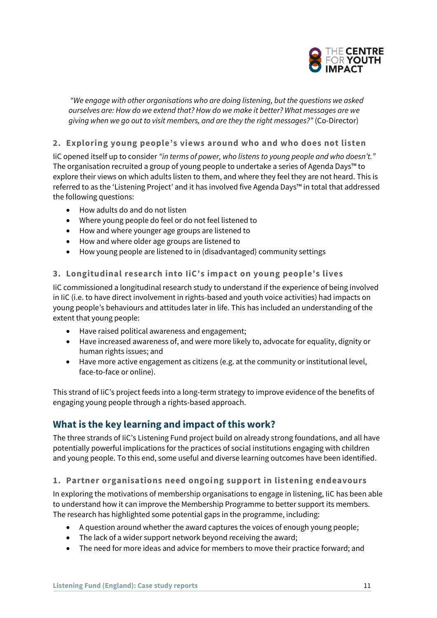

*"We engage with other organisations who are doing listening, but the questions we asked ourselves are: How do we extend that? How do we make it better? What messages are we giving when we go out to visit members, and are they the right messages?"* (Co-Director)

#### **2. Exploring young people's views around who and who does not listen**

IiC opened itself up to consider *"in terms of power, who listens to young people and who doesn't."* The organisation recruited a group of young people to undertake a series of Agenda Days™ to explore their views on which adults listen to them, and where they feel they are not heard. This is referred to as the 'Listening Project' and it has involved five Agenda Days™ in total that addressed the following questions:

- How adults do and do not listen
- Where young people do feel or do not feel listened to
- How and where younger age groups are listened to
- How and where older age groups are listened to
- How young people are listened to in (disadvantaged) community settings

#### **3. Longitudinal research into IiC's impact on young people's lives**

IiC commissioned a longitudinal research study to understand if the experience of being involved in IiC (i.e. to have direct involvement in rights-based and youth voice activities) had impacts on young people's behaviours and attitudes later in life. This has included an understanding of the extent that young people:

- Have raised political awareness and engagement;
- Have increased awareness of, and were more likely to, advocate for equality, dignity or human rights issues; and
- Have more active engagement as citizens (e.g. at the community or institutional level, face-to-face or online).

This strand of IiC's project feeds into a long-term strategy to improve evidence of the benefits of engaging young people through a rights-based approach.

### **What is the key learning and impact of this work?**

The three strands of IiC's Listening Fund project build on already strong foundations, and all have potentially powerful implications for the practices of social institutions engaging with children and young people. To this end, some useful and diverse learning outcomes have been identified.

#### **1. Partner organisations need ongoing support in listening endeavours**

In exploring the motivations of membership organisations to engage in listening, IiC has been able to understand how it can improve the Membership Programme to better support its members. The research has highlighted some potential gaps in the programme, including:

- A question around whether the award captures the voices of enough young people;
- The lack of a wider support network beyond receiving the award;
- The need for more ideas and advice for members to move their practice forward; and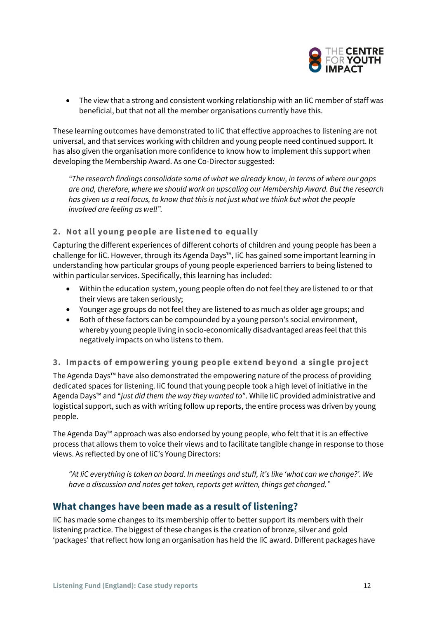

• The view that a strong and consistent working relationship with an IiC member of staff was beneficial, but that not all the member organisations currently have this.

These learning outcomes have demonstrated to IiC that effective approaches to listening are not universal, and that services working with children and young people need continued support. It has also given the organisation more confidence to know how to implement this support when developing the Membership Award. As one Co-Director suggested:

*"The research findings consolidate some of what we already know, in terms of where our gaps are and, therefore, where we should work on upscaling our Membership Award. But the research has given us a real focus, to know that this is not just what we think but what the people involved are feeling as well".* 

#### **2. Not all young people are listened to equally**

Capturing the different experiences of different cohorts of children and young people has been a challenge for IiC. However, through its Agenda Days™, IiC has gained some important learning in understanding how particular groups of young people experienced barriers to being listened to within particular services. Specifically, this learning has included:

- Within the education system, young people often do not feel they are listened to or that their views are taken seriously;
- Younger age groups do not feel they are listened to as much as older age groups; and
- Both of these factors can be compounded by a young person's social environment, whereby young people living in socio-economically disadvantaged areas feel that this negatively impacts on who listens to them.

#### **3. Impacts of empowering young people extend beyond a single project**

The Agenda Days™ have also demonstrated the empowering nature of the process of providing dedicated spaces for listening. IiC found that young people took a high level of initiative in the Agenda Days™ and "*just did them the way they wanted to*". While IiC provided administrative and logistical support, such as with writing follow up reports, the entire process was driven by young people.

The Agenda Day™ approach was also endorsed by young people, who felt that it is an effective process that allows them to voice their views and to facilitate tangible change in response to those views. As reflected by one of IiC's Young Directors:

*"At IiC everything is taken on board. In meetings and stuff, it's like 'what can we change?'. We have a discussion and notes get taken, reports get written, things get changed."*

#### **What changes have been made as a result of listening?**

IiC has made some changes to its membership offer to better support its members with their listening practice. The biggest of these changes is the creation of bronze, silver and gold 'packages' that reflect how long an organisation has held the IiC award. Different packages have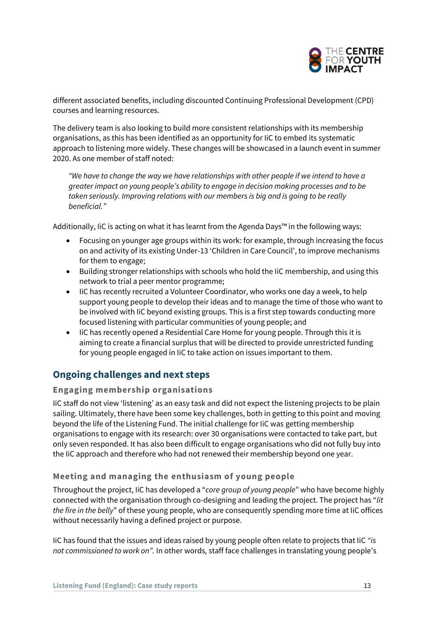

different associated benefits, including discounted Continuing Professional Development (CPD) courses and learning resources.

The delivery team is also looking to build more consistent relationships with its membership organisations, as this has been identified as an opportunity for IiC to embed its systematic approach to listening more widely. These changes will be showcased in a launch event in summer 2020. As one member of staff noted:

*"We have to change the way we have relationships with other people if we intend to have a greater impact on young people's ability to engage in decision making processes and to be taken seriously. Improving relations with our members is big and is going to be really beneficial."*

Additionally, IiC is acting on what it has learnt from the Agenda Days™ in the following ways:

- Focusing on younger age groups within its work: for example, through increasing the focus on and activity of its existing Under-13 'Children in Care Council', to improve mechanisms for them to engage;
- Building stronger relationships with schools who hold the IiC membership, and using this network to trial a peer mentor programme;
- IiC has recently recruited a Volunteer Coordinator, who works one day a week, to help support young people to develop their ideas and to manage the time of those who want to be involved with IiC beyond existing groups. This is a first step towards conducting more focused listening with particular communities of young people; and
- IiC has recently opened a Residential Care Home for young people. Through this it is aiming to create a financial surplus that will be directed to provide unrestricted funding for young people engaged in IiC to take action on issues important to them.

### **Ongoing challenges and next steps**

#### **Engaging membership organisations**

IiC staff do not view 'listening' as an easy task and did not expect the listening projects to be plain sailing. Ultimately, there have been some key challenges, both in getting to this point and moving beyond the life of the Listening Fund. The initial challenge for IiC was getting membership organisations to engage with its research: over 30 organisations were contacted to take part, but only seven responded. It has also been difficult to engage organisations who did not fully buy into the IiC approach and therefore who had not renewed their membership beyond one year.

#### **Meeting and managing the enthusiasm of young people**

Throughout the project, IiC has developed a "*core group of young people*" who have become highly connected with the organisation through co-designing and leading the project. The project has "*lit the fire in the belly*" of these young people, who are consequently spending more time at IiC offices without necessarily having a defined project or purpose.

IiC has found that the issues and ideas raised by young people often relate to projects that IiC *"is not commissioned to work on".* In other words*,* staff face challenges in translating young people's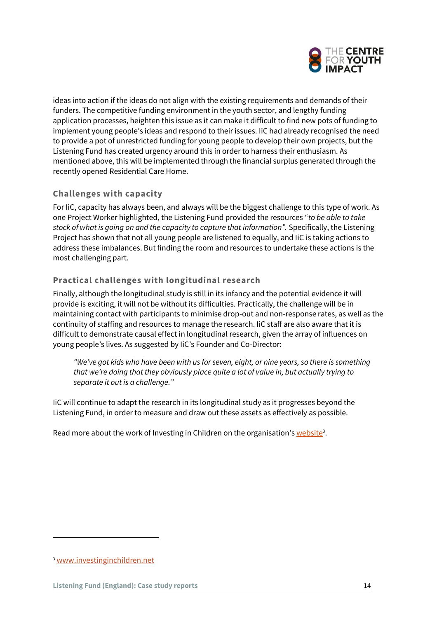

ideas into action if the ideas do not align with the existing requirements and demands of their funders. The competitive funding environment in the youth sector, and lengthy funding application processes, heighten this issue as it can make it difficult to find new pots of funding to implement young people's ideas and respond to their issues. IiC had already recognised the need to provide a pot of unrestricted funding for young people to develop their own projects, but the Listening Fund has created urgency around this in order to harness their enthusiasm. As mentioned above, this will be implemented through the financial surplus generated through the recently opened Residential Care Home.

#### **Challenges with capacity**

For IiC, capacity has always been, and always will be the biggest challenge to this type of work. As one Project Worker highlighted, the Listening Fund provided the resources "*to be able to take stock of what is going on and the capacity to capture that information".* Specifically, the Listening Project has shown that not all young people are listened to equally, and IiC is taking actions to address these imbalances. But finding the room and resources to undertake these actions is the most challenging part.

#### **Practical challenges with longitudinal research**

Finally, although the longitudinal study is still in its infancy and the potential evidence it will provide is exciting, it will not be without its difficulties. Practically, the challenge will be in maintaining contact with participants to minimise drop-out and non-response rates, as well as the continuity of staffing and resources to manage the research. IiC staff are also aware that it is difficult to demonstrate causal effect in longitudinal research, given the array of influences on young people's lives. As suggested by IiC's Founder and Co-Director:

*"We've got kids who have been with us for seven, eight, or nine years, so there is something that we're doing that they obviously place quite a lot of value in, but actually trying to separate it out is a challenge."* 

IiC will continue to adapt the research in its longitudinal study as it progresses beyond the Listening Fund, in order to measure and draw out these assets as effectively as possible.

Read more about the work of Investing in Children on the organisation's <u>website</u><sup>3</sup>.

<sup>3</sup> [www.investinginchildren.net](http://www.investinginchildren.net/)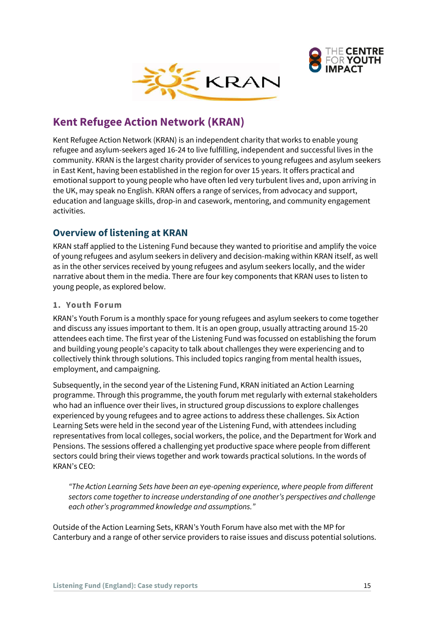



# <span id="page-14-0"></span>**Kent Refugee Action Network (KRAN)**

Kent Refugee Action Network (KRAN) is an independent charity that works to enable young refugee and asylum-seekers aged 16-24 to live fulfilling, independent and successful lives in the community. KRAN is the largest charity provider of services to young refugees and asylum seekers in East Kent, having been established in the region for over 15 years. It offers practical and emotional support to young people who have often led very turbulent lives and, upon arriving in the UK, may speak no English. KRAN offers a range of services, from advocacy and support, education and language skills, drop-in and casework, mentoring, and community engagement activities.

# **Overview of listening at KRAN**

KRAN staff applied to the Listening Fund because they wanted to prioritise and amplify the voice of young refugees and asylum seekers in delivery and decision-making within KRAN itself, as well as in the other services received by young refugees and asylum seekers locally, and the wider narrative about them in the media. There are four key components that KRAN uses to listen to young people, as explored below.

#### **1. Youth Forum**

KRAN's Youth Forum is a monthly space for young refugees and asylum seekers to come together and discuss any issues important to them. It is an open group, usually attracting around 15-20 attendees each time. The first year of the Listening Fund was focussed on establishing the forum and building young people's capacity to talk about challenges they were experiencing and to collectively think through solutions. This included topics ranging from mental health issues, employment, and campaigning.

Subsequently, in the second year of the Listening Fund, KRAN initiated an Action Learning programme. Through this programme, the youth forum met regularly with external stakeholders who had an influence over their lives, in structured group discussions to explore challenges experienced by young refugees and to agree actions to address these challenges. Six Action Learning Sets were held in the second year of the Listening Fund, with attendees including representatives from local colleges, social workers, the police, and the Department for Work and Pensions. The sessions offered a challenging yet productive space where people from different sectors could bring their views together and work towards practical solutions. In the words of KRAN's CEO:

*"The Action Learning Sets have been an eye-opening experience, where people from different sectors come together to increase understanding of one another's perspectives and challenge each other's programmed knowledge and assumptions."*

Outside of the Action Learning Sets, KRAN's Youth Forum have also met with the MP for Canterbury and a range of other service providers to raise issues and discuss potential solutions.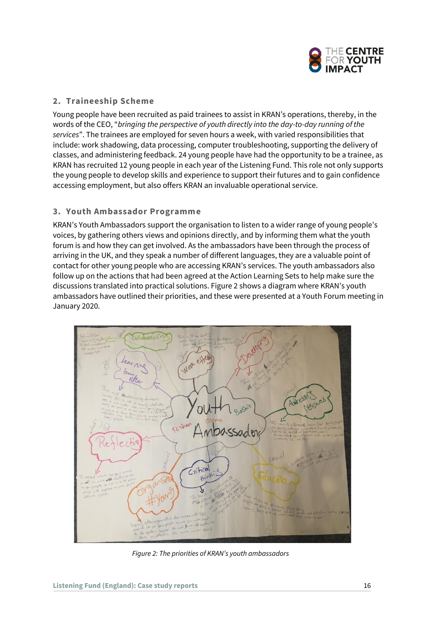

#### **2. Traineeship Scheme**

Young people have been recruited as paid trainees to assist in KRAN's operations, thereby, in the words of the CEO, "*bringing the perspective of youth directly into the day-to-day running of the services*". The trainees are employed for seven hours a week, with varied responsibilities that include: work shadowing, data processing, computer troubleshooting, supporting the delivery of classes, and administering feedback. 24 young people have had the opportunity to be a trainee, as KRAN has recruited 12 young people in each year of the Listening Fund. This role not only supports the young people to develop skills and experience to support their futures and to gain confidence accessing employment, but also offers KRAN an invaluable operational service.

#### **3. Youth Ambassador Programme**

KRAN's Youth Ambassadors support the organisation to listen to a wider range of young people's voices, by gathering others views and opinions directly, and by informing them what the youth forum is and how they can get involved. As the ambassadors have been through the process of arriving in the UK, and they speak a number of different languages, they are a valuable point of contact for other young people who are accessing KRAN's services. The youth ambassadors also follow up on the actions that had been agreed at the Action Learning Sets to help make sure the discussions translated into practical solutions. Figure 2 shows a diagram where KRAN's youth ambassadors have outlined their priorities, and these were presented at a Youth Forum meeting in January 2020.



*Figure 2: The priorities of KRAN's youth ambassadors*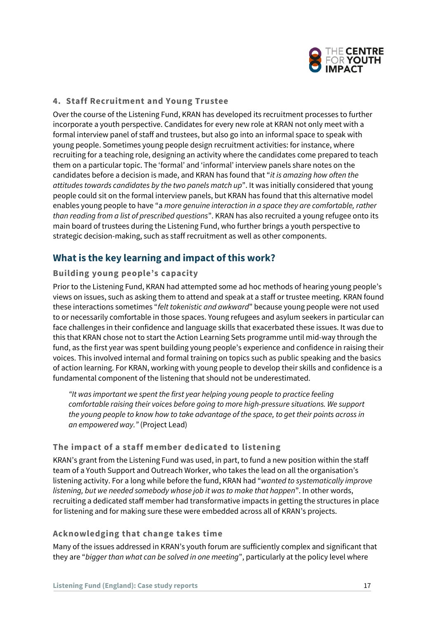

#### **4. Staff Recruitment and Young Trustee**

Over the course of the Listening Fund, KRAN has developed its recruitment processes to further incorporate a youth perspective. Candidates for every new role at KRAN not only meet with a formal interview panel of staff and trustees, but also go into an informal space to speak with young people. Sometimes young people design recruitment activities: for instance, where recruiting for a teaching role, designing an activity where the candidates come prepared to teach them on a particular topic. The 'formal' and 'informal' interview panels share notes on the candidates before a decision is made, and KRAN has found that "*it is amazing how often the attitudes towards candidates by the two panels match up*". It was initially considered that young people could sit on the formal interview panels, but KRAN has found that this alternative model enables young people to have "a *more genuine interaction in a space they are comfortable, rather than reading from a list of prescribed questions*". KRAN has also recruited a young refugee onto its main board of trustees during the Listening Fund, who further brings a youth perspective to strategic decision-making, such as staff recruitment as well as other components.

### **What is the key learning and impact of this work?**

#### **Building young people's capacity**

Prior to the Listening Fund, KRAN had attempted some ad hoc methods of hearing young people's views on issues, such as asking them to attend and speak at a staff or trustee meeting. KRAN found these interactions sometimes "*felt tokenistic and awkward*" because young people were not used to or necessarily comfortable in those spaces. Young refugees and asylum seekers in particular can face challenges in their confidence and language skills that exacerbated these issues. It was due to this that KRAN chose not to start the Action Learning Sets programme until mid-way through the fund, as the first year was spent building young people's experience and confidence in raising their voices. This involved internal and formal training on topics such as public speaking and the basics of action learning. For KRAN, working with young people to develop their skills and confidence is a fundamental component of the listening that should not be underestimated.

*"It was important we spent the first year helping young people to practice feeling comfortable raising their voices before going to more high-pressure situations. We support the young people to know how to take advantage of the space, to get their points across in an empowered way."* (Project Lead)

#### **The impact of a staff member dedicated to listening**

KRAN's grant from the Listening Fund was used, in part, to fund a new position within the staff team of a Youth Support and Outreach Worker, who takes the lead on all the organisation's listening activity. For a long while before the fund, KRAN had "*wanted to systematically improve listening, but we needed somebody whose job it was to make that happen*". In other words, recruiting a dedicated staff member had transformative impacts in getting the structures in place for listening and for making sure these were embedded across all of KRAN's projects.

#### **Acknowledging that change takes time**

Many of the issues addressed in KRAN's youth forum are sufficiently complex and significant that they are "*bigger than what can be solved in one meeting*", particularly at the policy level where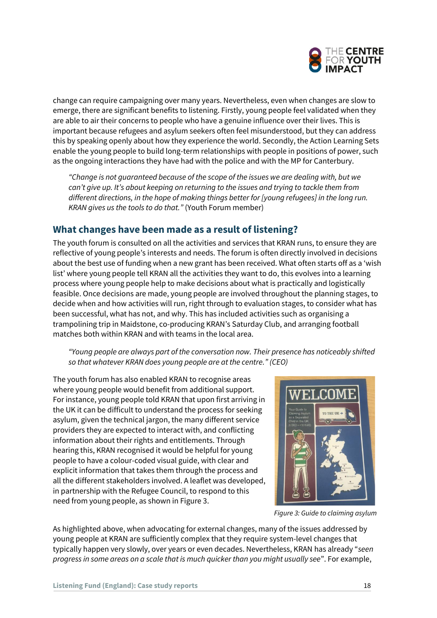

change can require campaigning over many years. Nevertheless, even when changes are slow to emerge, there are significant benefits to listening. Firstly, young people feel validated when they are able to air their concerns to people who have a genuine influence over their lives. This is important because refugees and asylum seekers often feel misunderstood, but they can address this by speaking openly about how they experience the world. Secondly, the Action Learning Sets enable the young people to build long-term relationships with people in positions of power, such as the ongoing interactions they have had with the police and with the MP for Canterbury.

*"Change is not guaranteed because of the scope of the issues we are dealing with, but we can't give up. It's about keeping on returning to the issues and trying to tackle them from different directions, in the hope of making things better for [young refugees] in the long run. KRAN gives us the tools to do that."* (Youth Forum member)

# **What changes have been made as a result of listening?**

The youth forum is consulted on all the activities and services that KRAN runs, to ensure they are reflective of young people's interests and needs. The forum is often directly involved in decisions about the best use of funding when a new grant has been received. What often starts off as a 'wish list' where young people tell KRAN all the activities they want to do, this evolves into a learning process where young people help to make decisions about what is practically and logistically feasible. Once decisions are made, young people are involved throughout the planning stages, to decide when and how activities will run, right through to evaluation stages, to consider what has been successful, what has not, and why. This has included activities such as organising a trampolining trip in Maidstone, co-producing KRAN's Saturday Club, and arranging football matches both within KRAN and with teams in the local area.

*"Young people are always part of the conversation now. Their presence has noticeably shifted so that whatever KRAN does young people are at the centre." (CEO)*

The youth forum has also enabled KRAN to recognise areas where young people would benefit from additional support. For instance, young people told KRAN that upon first arriving in the UK it can be difficult to understand the process for seeking asylum, given the technical jargon, the many different service providers they are expected to interact with, and conflicting information about their rights and entitlements. Through hearing this, KRAN recognised it would be helpful for young people to have a colour-coded visual guide, with clear and explicit information that takes them through the process and all the different stakeholders involved. A leaflet was developed, in partnership with the Refugee Council, to respond to this need from young people, as shown in Figure 3.



*Figure 3: Guide to claiming asylum* 

As highlighted above, when advocating for external changes, many of the issues addressed by young people at KRAN are sufficiently complex that they require system-level changes that typically happen very slowly, over years or even decades. Nevertheless, KRAN has already "*seen progress in some areas on a scale that is much quicker than you might usually see*". For example,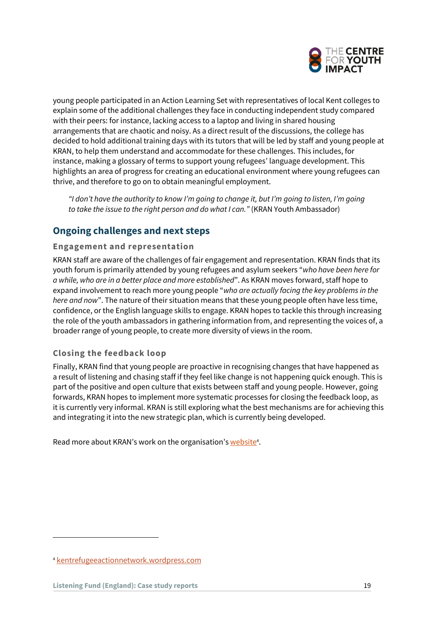

young people participated in an Action Learning Set with representatives of local Kent colleges to explain some of the additional challenges they face in conducting independent study compared with their peers: for instance, lacking access to a laptop and living in shared housing arrangements that are chaotic and noisy. As a direct result of the discussions, the college has decided to hold additional training days with its tutors that will be led by staff and young people at KRAN, to help them understand and accommodate for these challenges. This includes, for instance, making a glossary of terms to support young refugees' language development. This highlights an area of progress for creating an educational environment where young refugees can thrive, and therefore to go on to obtain meaningful employment.

*"I don't have the authority to know I'm going to change it, but I'm going to listen, I'm going to take the issue to the right person and do what I can."* (KRAN Youth Ambassador)

# **Ongoing challenges and next steps**

#### **Engagement and representation**

KRAN staff are aware of the challenges of fair engagement and representation. KRAN finds that its youth forum is primarily attended by young refugees and asylum seekers "*who have been here for a while, who are in a better place and more established*". As KRAN moves forward, staff hope to expand involvement to reach more young people "*who are actually facing the key problems in the here and now*". The nature of their situation means that these young people often have less time, confidence, or the English language skills to engage. KRAN hopes to tackle this through increasing the role of the youth ambassadors in gathering information from, and representing the voices of, a broader range of young people, to create more diversity of views in the room.

#### **Closing the feedback loop**

Finally, KRAN find that young people are proactive in recognising changes that have happened as a result of listening and chasing staff if they feel like change is not happening quick enough. This is part of the positive and open culture that exists between staff and young people. However, going forwards, KRAN hopes to implement more systematic processes for closing the feedback loop, as it is currently very informal. KRAN is still exploring what the best mechanisms are for achieving this and integrating it into the new strategic plan, which is currently being developed.

Read more about KRAN's work on the organisation's website<sup>4</sup>.

<sup>4</sup> [kentrefugeeactionnetwork.wordpress.com](file:///C:/Users/sarahwilliams/Desktop/kentrefugeeactionnetwork.wordpress.com)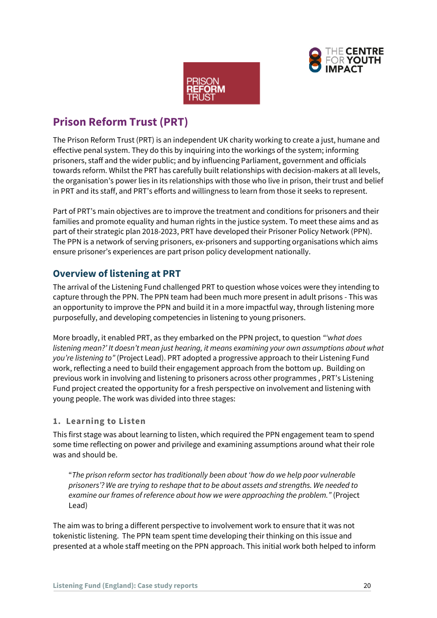



# <span id="page-19-0"></span>**Prison Reform Trust (PRT)**

The Prison Reform Trust (PRT) is an independent UK charity working to create a just, humane and effective penal system. They do this by inquiring into the workings of the system; informing prisoners, staff and the wider public; and by influencing Parliament, government and officials towards reform. Whilst the PRT has carefully built relationships with decision-makers at all levels, the organisation's power lies in its relationships with those who live in prison, their trust and belief in PRT and its staff, and PRT's efforts and willingness to learn from those it seeks to represent.

Part of PRT's main objectives are to improve the treatment and conditions for prisoners and their families and promote equality and human rights in the justice system. To meet these aims and as part of their strategic plan 2018-2023, PRT have developed their Prisoner Policy Network (PPN). The PPN is a network of serving prisoners, ex-prisoners and supporting organisations which aims ensure prisoner's experiences are part prison policy development nationally.

# **Overview of listening at PRT**

The arrival of the Listening Fund challenged PRT to question whose voices were they intending to capture through the PPN. The PPN team had been much more present in adult prisons - This was an opportunity to improve the PPN and build it in a more impactful way, through listening more purposefully, and developing competencies in listening to young prisoners.

More broadly, it enabled PRT, as they embarked on the PPN project, to question *"'what does listening mean?' It doesn't mean just hearing, it means examining your own assumptions about what you're listening to"* (Project Lead). PRT adopted a progressive approach to their Listening Fund work, reflecting a need to build their engagement approach from the bottom up. Building on previous work in involving and listening to prisoners across other programmes , PRT's Listening Fund project created the opportunity for a fresh perspective on involvement and listening with young people. The work was divided into three stages:

#### **1. Learning to Listen**

This first stage was about learning to listen, which required the PPN engagement team to spend some time reflecting on power and privilege and examining assumptions around what their role was and should be.

"*The prison reform sector has traditionally been about 'how do we help poor vulnerable prisoners'? We are trying to reshape that to be about assets and strengths. We needed to examine our frames of reference about how we were approaching the problem."* (Project Lead)

The aim was to bring a different perspective to involvement work to ensure that it was not tokenistic listening. The PPN team spent time developing their thinking on this issue and presented at a whole staff meeting on the PPN approach. This initial work both helped to inform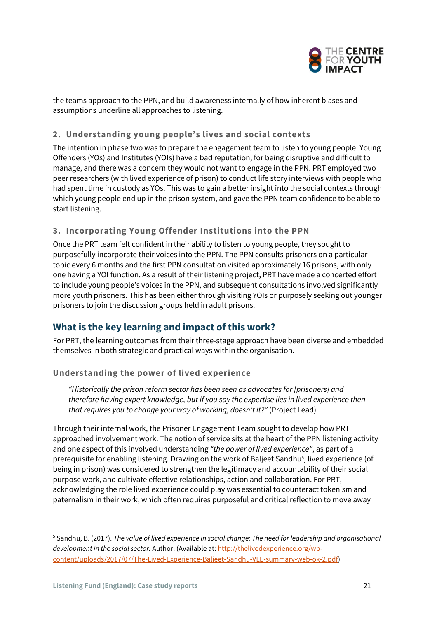

the teams approach to the PPN, and build awareness internally of how inherent biases and assumptions underline all approaches to listening.

#### **2. Understanding young people's lives and social contexts**

The intention in phase two was to prepare the engagement team to listen to young people. Young Offenders (YOs) and Institutes (YOIs) have a bad reputation, for being disruptive and difficult to manage, and there was a concern they would not want to engage in the PPN. PRT employed two peer researchers (with lived experience of prison) to conduct life story interviews with people who had spent time in custody as YOs. This was to gain a better insight into the social contexts through which young people end up in the prison system, and gave the PPN team confidence to be able to start listening.

#### **3. Incorporating Young Offender Institutions into the PPN**

Once the PRT team felt confident in their ability to listen to young people, they sought to purposefully incorporate their voices into the PPN. The PPN consults prisoners on a particular topic every 6 months and the first PPN consultation visited approximately 16 prisons, with only one having a YOI function. As a result of their listening project, PRT have made a concerted effort to include young people's voices in the PPN, and subsequent consultations involved significantly more youth prisoners. This has been either through visiting YOIs or purposely seeking out younger prisoners to join the discussion groups held in adult prisons.

# **What is the key learning and impact of this work?**

For PRT, the learning outcomes from their three-stage approach have been diverse and embedded themselves in both strategic and practical ways within the organisation.

#### **Understanding the power of lived experience**

*"Historically the prison reform sector has been seen as advocates for [prisoners] and therefore having expert knowledge, but if you say the expertise lies in lived experience then that requires you to change your way of working, doesn't it?"* (Project Lead)

Through their internal work, the Prisoner Engagement Team sought to develop how PRT approached involvement work. The notion of service sits at the heart of the PPN listening activity and one aspect of this involved understanding *"the power of lived experience"*, as part of a prerequisite for enabling listening. Drawing on the work of Baljeet Sandhu<sup>5</sup>, lived experience (of being in prison) was considered to strengthen the legitimacy and accountability of their social purpose work, and cultivate effective relationships, action and collaboration. For PRT, acknowledging the role lived experience could play was essential to counteract tokenism and paternalism in their work, which often requires purposeful and critical reflection to move away

<sup>5</sup> Sandhu, B. (2017). *The value of lived experience in social change: The need for leadership and organisational development in the social sector.* Author. (Available at[: http://thelivedexperience.org/wp](http://thelivedexperience.org/wp-content/uploads/2017/07/The-Lived-Experience-Baljeet-Sandhu-VLE-summary-web-ok-2.pdf)[content/uploads/2017/07/The-Lived-Experience-Baljeet-Sandhu-VLE-summary-web-ok-2.pdf\)](http://thelivedexperience.org/wp-content/uploads/2017/07/The-Lived-Experience-Baljeet-Sandhu-VLE-summary-web-ok-2.pdf)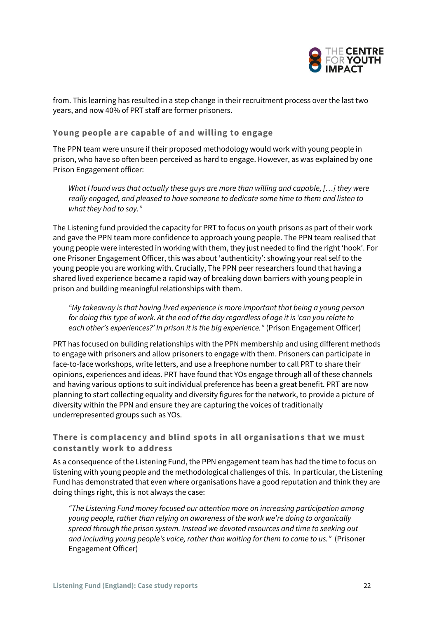

from. This learning has resulted in a step change in their recruitment process over the last two years, and now 40% of PRT staff are former prisoners.

#### **Young people are capable of and willing to engage**

The PPN team were unsure if their proposed methodology would work with young people in prison, who have so often been perceived as hard to engage. However, as was explained by one Prison Engagement officer:

*What I found was that actually these guys are more than willing and capable, […] they were really engaged, and pleased to have someone to dedicate some time to them and listen to what they had to say."*

The Listening fund provided the capacity for PRT to focus on youth prisons as part of their work and gave the PPN team more confidence to approach young people. The PPN team realised that young people were interested in working with them, they just needed to find the right 'hook'. For one Prisoner Engagement Officer, this was about 'authenticity': showing your real self to the young people you are working with. Crucially, The PPN peer researchers found that having a shared lived experience became a rapid way of breaking down barriers with young people in prison and building meaningful relationships with them.

*"My takeaway is that having lived experience is more important that being a young person for doing this type of work. At the end of the day regardless of age it is 'can you relate to each other's experiences?' In prison it is the big experience."* (Prison Engagement Officer)

PRT has focused on building relationships with the PPN membership and using different methods to engage with prisoners and allow prisoners to engage with them. Prisoners can participate in face-to-face workshops, write letters, and use a freephone number to call PRT to share their opinions, experiences and ideas. PRT have found that YOs engage through all of these channels and having various options to suit individual preference has been a great benefit. PRT are now planning to start collecting equality and diversity figures for the network, to provide a picture of diversity within the PPN and ensure they are capturing the voices of traditionally underrepresented groups such as YOs.

#### **There is complacency and blind spots in all organisations that we must constantly work to address**

As a consequence of the Listening Fund, the PPN engagement team has had the time to focus on listening with young people and the methodological challenges of this. In particular, the Listening Fund has demonstrated that even where organisations have a good reputation and think they are doing things right, this is not always the case:

*"The Listening Fund money focused our attention more on increasing participation among young people, rather than relying on awareness of the work we're doing to organically spread through the prison system. Instead we devoted resources and time to seeking out and including young people's voice, rather than waiting for them to come to us."* (Prisoner Engagement Officer)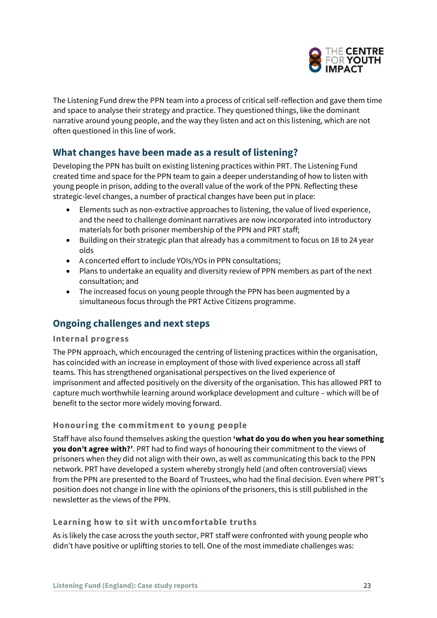

The Listening Fund drew the PPN team into a process of critical self-reflection and gave them time and space to analyse their strategy and practice. They questioned things, like the dominant narrative around young people, and the way they listen and act on this listening, which are not often questioned in this line of work.

# **What changes have been made as a result of listening?**

Developing the PPN has built on existing listening practices within PRT. The Listening Fund created time and space for the PPN team to gain a deeper understanding of how to listen with young people in prison, adding to the overall value of the work of the PPN. Reflecting these strategic-level changes, a number of practical changes have been put in place:

- Elements such as non-extractive approaches to listening, the value of lived experience, and the need to challenge dominant narratives are now incorporated into introductory materials for both prisoner membership of the PPN and PRT staff;
- Building on their strategic plan that already has a commitment to focus on 18 to 24 year olds
- A concerted effort to include YOIs/YOs in PPN consultations;
- Plans to undertake an equality and diversity review of PPN members as part of the next consultation; and
- The increased focus on young people through the PPN has been augmented by a simultaneous focus through the PRT Active Citizens programme.

### **Ongoing challenges and next steps**

#### **Internal progress**

The PPN approach, which encouraged the centring of listening practices within the organisation, has coincided with an increase in employment of those with lived experience across all staff teams. This has strengthened organisational perspectives on the lived experience of imprisonment and affected positively on the diversity of the organisation. This has allowed PRT to capture much worthwhile learning around workplace development and culture – which will be of benefit to the sector more widely moving forward.

#### **Honouring the commitment to young people**

Staff have also found themselves asking the question **'what do you do when you hear something you don't agree with?'**. PRT had to find ways of honouring their commitment to the views of prisoners when they did not align with their own, as well as communicating this back to the PPN network. PRT have developed a system whereby strongly held (and often controversial) views from the PPN are presented to the Board of Trustees, who had the final decision. Even where PRT's position does not change in line with the opinions of the prisoners, this is still published in the newsletter as the views of the PPN.

#### **Learning how to sit with uncomfortable truths**

As is likely the case across the youth sector, PRT staff were confronted with young people who didn't have positive or uplifting stories to tell. One of the most immediate challenges was: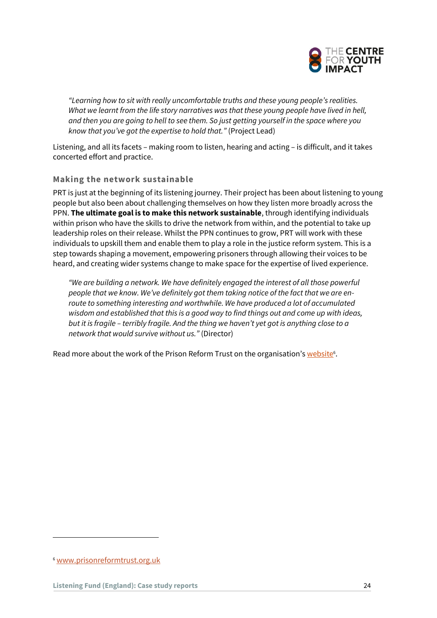

*"Learning how to sit with really uncomfortable truths and these young people's realities. What we learnt from the life story narratives was that these young people have lived in hell, and then you are going to hell to see them. So just getting yourself in the space where you know that you've got the expertise to hold that."* (Project Lead)

Listening, and all its facets – making room to listen, hearing and acting – is difficult, and it takes concerted effort and practice.

#### **Making the network sustainable**

PRT is just at the beginning of its listening journey. Their project has been about listening to young people but also been about challenging themselves on how they listen more broadly across the PPN. **The ultimate goal is to make this network sustainable**, through identifying individuals within prison who have the skills to drive the network from within, and the potential to take up leadership roles on their release. Whilst the PPN continues to grow, PRT will work with these individuals to upskill them and enable them to play a role in the justice reform system. This is a step towards shaping a movement, empowering prisoners through allowing their voices to be heard, and creating wider systems change to make space for the expertise of lived experience.

*"We are building a network. We have definitely engaged the interest of all those powerful people that we know. We've definitely got them taking notice of the fact that we are enroute to something interesting and worthwhile. We have produced a lot of accumulated wisdom and established that this is a good way to find things out and come up with ideas, but it is fragile – terribly fragile. And the thing we haven't yet got is anything close to a network that would survive without us."* (Director)

Read more about the work of the Prison Reform Trust on the organisation's <u>website</u><sup>6</sup>.

<sup>6</sup> [www.prisonreformtrust.org.uk](http://www.prisonreformtrust.org.uk/)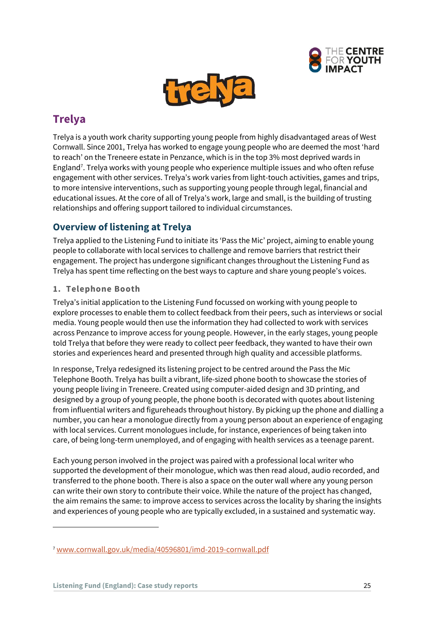



# <span id="page-24-0"></span>**Trelya**

Trelya is a youth work charity supporting young people from highly disadvantaged areas of West Cornwall. Since 2001, Trelya has worked to engage young people who are deemed the most 'hard to reach' on the Treneere estate in Penzance, which is in the top 3% most deprived wards in England<sup>7</sup> . Trelya works with young people who experience multiple issues and who often refuse engagement with other services. Trelya's work varies from light-touch activities, games and trips, to more intensive interventions, such as supporting young people through legal, financial and educational issues. At the core of all of Trelya's work, large and small, is the building of trusting relationships and offering support tailored to individual circumstances.

# **Overview of listening at Trelya**

Trelya applied to the Listening Fund to initiate its 'Pass the Mic' project, aiming to enable young people to collaborate with local services to challenge and remove barriers that restrict their engagement. The project has undergone significant changes throughout the Listening Fund as Trelya has spent time reflecting on the best ways to capture and share young people's voices.

#### **1. Telephone Booth**

Trelya's initial application to the Listening Fund focussed on working with young people to explore processes to enable them to collect feedback from their peers, such as interviews or social media. Young people would then use the information they had collected to work with services across Penzance to improve access for young people. However, in the early stages, young people told Trelya that before they were ready to collect peer feedback, they wanted to have their own stories and experiences heard and presented through high quality and accessible platforms.

In response, Trelya redesigned its listening project to be centred around the Pass the Mic Telephone Booth. Trelya has built a vibrant, life-sized phone booth to showcase the stories of young people living in Treneere. Created using computer-aided design and 3D printing, and designed by a group of young people, the phone booth is decorated with quotes about listening from influential writers and figureheads throughout history. By picking up the phone and dialling a number, you can hear a monologue directly from a young person about an experience of engaging with local services. Current monologues include, for instance, experiences of being taken into care, of being long-term unemployed, and of engaging with health services as a teenage parent.

Each young person involved in the project was paired with a professional local writer who supported the development of their monologue, which was then read aloud, audio recorded, and transferred to the phone booth. There is also a space on the outer wall where any young person can write their own story to contribute their voice. While the nature of the project has changed, the aim remains the same: to improve access to services across the locality by sharing the insights and experiences of young people who are typically excluded, in a sustained and systematic way.

<sup>7</sup> [www.cornwall.gov.uk/media/40596801/imd-2019-cornwall.pdf](http://www.cornwall.gov.uk/media/40596801/imd-2019-cornwall.pdf)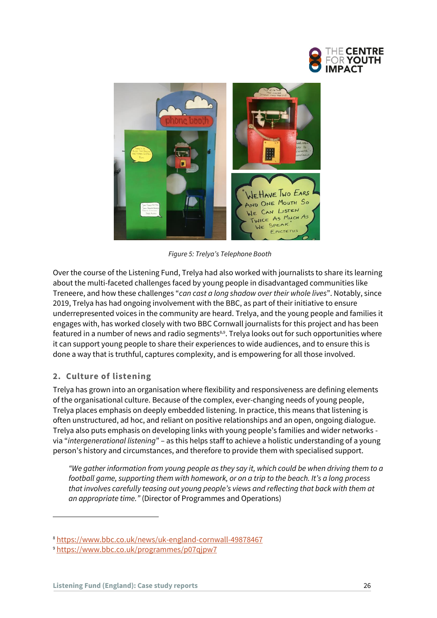



*Figure 5: Trelya's Telephone Booth* 

Over the course of the Listening Fund, Trelya had also worked with journalists to share its learning about the multi-faceted challenges faced by young people in disadvantaged communities like Treneere, and how these challenges "*can cast a long shadow over their whole lives*". Notably, since 2019, Trelya has had ongoing involvement with the BBC, as part of their initiative to ensure underrepresented voices in the community are heard. Trelya, and the young people and families it engages with, has worked closely with two BBC Cornwall journalists for this project and has been featured in a number of news and radio segments<sup>8,9</sup>. Trelya looks out for such opportunities where it can support young people to share their experiences to wide audiences, and to ensure this is done a way that is truthful, captures complexity, and is empowering for all those involved.

#### **2. Culture of listening**

Trelya has grown into an organisation where flexibility and responsiveness are defining elements of the organisational culture. Because of the complex, ever-changing needs of young people, Trelya places emphasis on deeply embedded listening. In practice, this means that listening is often unstructured, ad hoc, and reliant on positive relationships and an open, ongoing dialogue. Trelya also puts emphasis on developing links with young people's families and wider networks via "*intergenerational listening*" – as this helps staff to achieve a holistic understanding of a young person's history and circumstances, and therefore to provide them with specialised support.

*"We gather information from young people as they say it, which could be when driving them to a football game, supporting them with homework, or on a trip to the beach. It's a long process that involves carefully teasing out young people's views and reflecting that back with them at an appropriate time."* (Director of Programmes and Operations)

<sup>8</sup> <https://www.bbc.co.uk/news/uk-england-cornwall-49878467>

<sup>9</sup> <https://www.bbc.co.uk/programmes/p07qjpw7>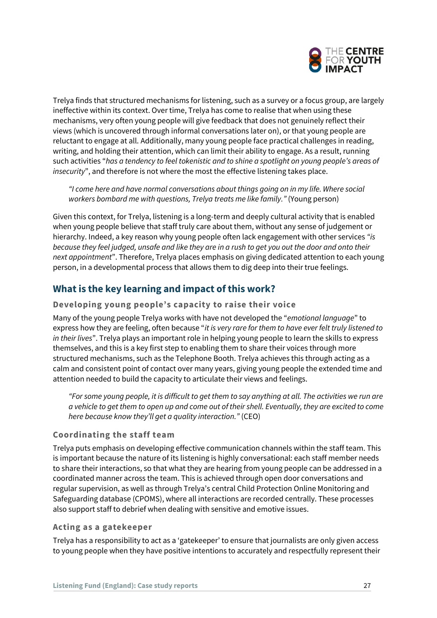

Trelya finds that structured mechanisms for listening, such as a survey or a focus group, are largely ineffective within its context. Over time, Trelya has come to realise that when using these mechanisms, very often young people will give feedback that does not genuinely reflect their views (which is uncovered through informal conversations later on), or that young people are reluctant to engage at all. Additionally, many young people face practical challenges in reading, writing, and holding their attention, which can limit their ability to engage. As a result, running such activities "*has a tendency to feel tokenistic and to shine a spotlight on young people's areas of insecurity*", and therefore is not where the most the effective listening takes place.

*"I come here and have normal conversations about things going on in my life. Where social workers bombard me with questions, Trelya treats me like family."* (Young person)

Given this context, for Trelya, listening is a long-term and deeply cultural activity that is enabled when young people believe that staff truly care about them, without any sense of judgement or hierarchy. Indeed, a key reason why young people often lack engagement with other services *"is because they feel judged, unsafe and like they are in a rush to get you out the door and onto their next appointment*". Therefore, Trelya places emphasis on giving dedicated attention to each young person, in a developmental process that allows them to dig deep into their true feelings.

# **What is the key learning and impact of this work?**

#### **Developing young people's capacity to raise their voice**

Many of the young people Trelya works with have not developed the "*emotional language*" to express how they are feeling, often because "*it is very rare for them to have ever felt truly listened to in their lives*". Trelya plays an important role in helping young people to learn the skills to express themselves, and this is a key first step to enabling them to share their voices through more structured mechanisms, such as the Telephone Booth. Trelya achieves this through acting as a calm and consistent point of contact over many years, giving young people the extended time and attention needed to build the capacity to articulate their views and feelings.

*"For some young people, it is difficult to get them to say anything at all. The activities we run are a vehicle to get them to open up and come out of their shell. Eventually, they are excited to come here because know they'll get a quality interaction."* (CEO)

#### **Coordinating the staff team**

Trelya puts emphasis on developing effective communication channels within the staff team. This is important because the nature of its listening is highly conversational: each staff member needs to share their interactions, so that what they are hearing from young people can be addressed in a coordinated manner across the team. This is achieved through open door conversations and regular supervision, as well as through Trelya's central Child Protection Online Monitoring and Safeguarding database (CPOMS), where all interactions are recorded centrally. These processes also support staff to debrief when dealing with sensitive and emotive issues.

#### **Acting as a gatekeeper**

Trelya has a responsibility to act as a 'gatekeeper' to ensure that journalists are only given access to young people when they have positive intentions to accurately and respectfully represent their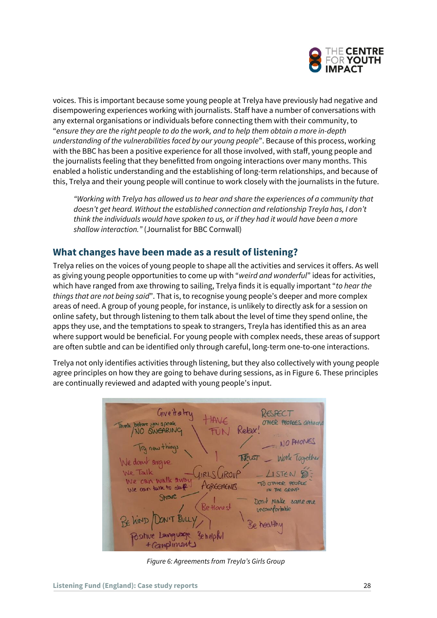

voices. This is important because some young people at Trelya have previously had negative and disempowering experiences working with journalists. Staff have a number of conversations with any external organisations or individuals before connecting them with their community, to "*ensure they are the right people to do the work, and to help them obtain a more in-depth understanding of the vulnerabilities faced by our young people*". Because of this process, working with the BBC has been a positive experience for all those involved, with staff, young people and the journalists feeling that they benefitted from ongoing interactions over many months. This enabled a holistic understanding and the establishing of long-term relationships, and because of this, Trelya and their young people will continue to work closely with the journalists in the future.

*"Working with Trelya has allowed us to hear and share the experiences of a community that doesn't get heard. Without the established connection and relationship Treyla has, I don't think the individuals would have spoken to us, or if they had it would have been a more shallow interaction."* (Journalist for BBC Cornwall)

### **What changes have been made as a result of listening?**

Trelya relies on the voices of young people to shape all the activities and services it offers. As well as giving young people opportunities to come up with "*weird and wonderful*" ideas for activities, which have ranged from axe throwing to sailing, Trelya finds it is equally important "*to hear the things that are not being said*". That is, to recognise young people's deeper and more complex areas of need. A group of young people, for instance, is unlikely to directly ask for a session on online safety, but through listening to them talk about the level of time they spend online, the apps they use, and the temptations to speak to strangers, Treyla has identified this as an area where support would be beneficial. For young people with complex needs, these areas of support are often subtle and can be identified only through careful, long-term one-to-one interactions.

Trelya not only identifies activities through listening, but they also collectively with young people agree principles on how they are going to behave during sessions, as in Figure 6. These principles are continually reviewed and adapted with young people's input.



*Figure 6: Agreements from Treyla's Girls Group*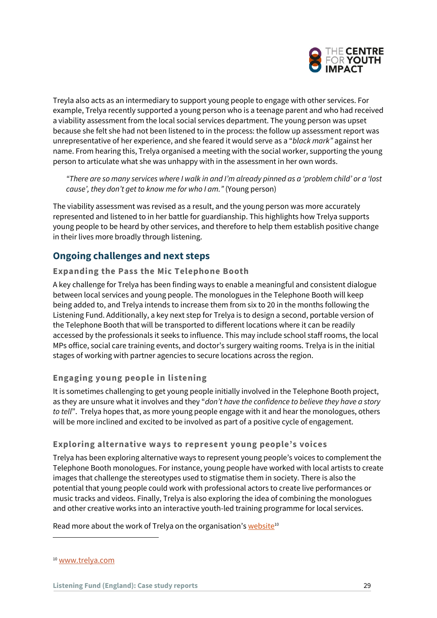

Treyla also acts as an intermediary to support young people to engage with other services. For example, Trelya recently supported a young person who is a teenage parent and who had received a viability assessment from the local social services department. The young person was upset because she felt she had not been listened to in the process: the follow up assessment report was unrepresentative of her experience, and she feared it would serve as a "*black mark"* against her name. From hearing this, Trelya organised a meeting with the social worker, supporting the young person to articulate what she was unhappy with in the assessment in her own words.

*"There are so many services where I walk in and I'm already pinned as a 'problem child' or a 'lost cause', they don't get to know me for who I am."* (Young person)

The viability assessment was revised as a result, and the young person was more accurately represented and listened to in her battle for guardianship. This highlights how Trelya supports young people to be heard by other services, and therefore to help them establish positive change in their lives more broadly through listening.

### **Ongoing challenges and next steps**

#### **Expanding the Pass the Mic Telephone Booth**

A key challenge for Trelya has been finding ways to enable a meaningful and consistent dialogue between local services and young people. The monologues in the Telephone Booth will keep being added to, and Trelya intends to increase them from six to 20 in the months following the Listening Fund. Additionally, a key next step for Trelya is to design a second, portable version of the Telephone Booth that will be transported to different locations where it can be readily accessed by the professionals it seeks to influence. This may include school staff rooms, the local MPs office, social care training events, and doctor's surgery waiting rooms. Trelya is in the initial stages of working with partner agencies to secure locations across the region.

#### **Engaging young people in listening**

It is sometimes challenging to get young people initially involved in the Telephone Booth project, as they are unsure what it involves and they "*don't have the confidence to believe they have a story to tell*". Trelya hopes that, as more young people engage with it and hear the monologues, others will be more inclined and excited to be involved as part of a positive cycle of engagement.

#### **Exploring alternative ways to represent young people's voices**

Trelya has been exploring alternative ways to represent young people's voices to complement the Telephone Booth monologues. For instance, young people have worked with local artists to create images that challenge the stereotypes used to stigmatise them in society. There is also the potential that young people could work with professional actors to create live performances or music tracks and videos. Finally, Trelya is also exploring the idea of combining the monologues and other creative works into an interactive youth-led training programme for local services.

Read more about the work of Trelya on the organisation's website<sup>10</sup>

<sup>10</sup> [www.trelya.com](http://www.trelya.com/)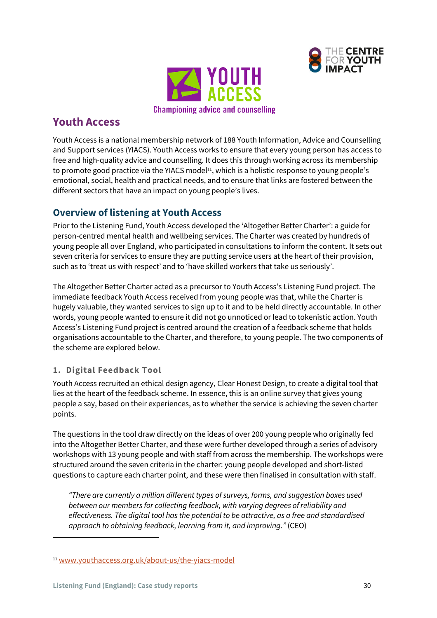



# <span id="page-29-0"></span>**Youth Access**

Youth Access is a national membership network of 188 Youth Information, Advice and Counselling and Support services (YIACS). Youth Access works to ensure that every young person has access to free and high-quality advice and counselling. It does this through working across its membership to promote good practice via the YIACS model11, which is a holistic response to young people's emotional, social, health and practical needs, and to ensure that links are fostered between the different sectors that have an impact on young people's lives.

# **Overview of listening at Youth Access**

Prior to the Listening Fund, Youth Access developed the 'Altogether Better Charter': a guide for person-centred mental health and wellbeing services. The Charter was created by hundreds of young people all over England, who participated in consultations to inform the content. It sets out seven criteria for services to ensure they are putting service users at the heart of their provision, such as to 'treat us with respect' and to 'have skilled workers that take us seriously'.

The Altogether Better Charter acted as a precursor to Youth Access's Listening Fund project. The immediate feedback Youth Access received from young people was that, while the Charter is hugely valuable, they wanted services to sign up to it and to be held directly accountable. In other words, young people wanted to ensure it did not go unnoticed or lead to tokenistic action. Youth Access's Listening Fund project is centred around the creation of a feedback scheme that holds organisations accountable to the Charter, and therefore, to young people. The two components of the scheme are explored below.

#### **1. Digital Feedback Tool**

Youth Access recruited an ethical design agency, Clear Honest Design, to create a digital tool that lies at the heart of the feedback scheme. In essence, this is an online survey that gives young people a say, based on their experiences, as to whether the service is achieving the seven charter points.

The questions in the tool draw directly on the ideas of over 200 young people who originally fed into the Altogether Better Charter, and these were further developed through a series of advisory workshops with 13 young people and with staff from across the membership. The workshops were structured around the seven criteria in the charter: young people developed and short-listed questions to capture each charter point, and these were then finalised in consultation with staff.

*"There are currently a million different types of surveys, forms, and suggestion boxes used between our members for collecting feedback, with varying degrees of reliability and effectiveness. The digital tool has the potential to be attractive, as a free and standardised approach to obtaining feedback, learning from it, and improving."* (CEO)

<sup>11</sup> [www.youthaccess.org.uk/about-us/the-yiacs-model](http://www.youthaccess.org.uk/about-us/the-yiacs-model)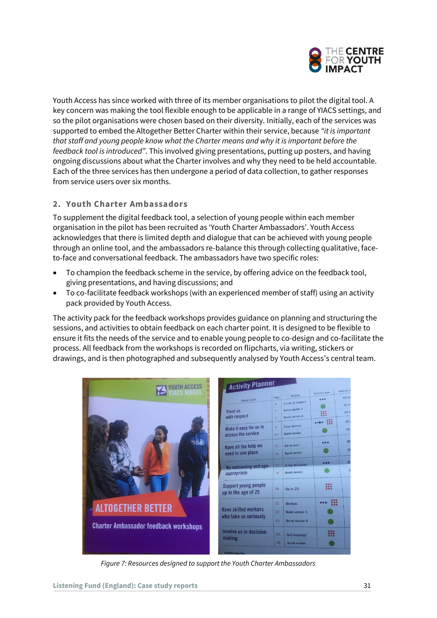

Youth Access has since worked with three of its member organisations to pilot the digital tool. A key concern was making the tool flexible enough to be applicable in a range of YIACS settings, and so the pilot organisations were chosen based on their diversity. Initially, each of the services was supported to embed the Altogether Better Charter within their service, because *"it is important that staff and young people know what the Charter means and why it is important before the feedback tool is introduced"*. This involved giving presentations, putting up posters, and having ongoing discussions about what the Charter involves and why they need to be held accountable. Each of the three services has then undergone a period of data collection, to gather responses from service users over six months.

#### **2. Youth Charter Ambassadors**

To supplement the digital feedback tool, a selection of young people within each member organisation in the pilot has been recruited as 'Youth Charter Ambassadors'. Youth Access acknowledges that there is limited depth and dialogue that can be achieved with young people through an online tool, and the ambassadors re-balance this through collecting qualitative, faceto-face and conversational feedback. The ambassadors have two specific roles:

- To champion the feedback scheme in the service, by offering advice on the feedback tool, giving presentations, and having discussions; and
- To co-facilitate feedback workshops (with an experienced member of staff) using an activity pack provided by Youth Access.

The activity pack for the feedback workshops provides guidance on planning and structuring the sessions, and activities to obtain feedback on each charter point. It is designed to be flexible to ensure it fits the needs of the service and to enable young people to co-design and co-facilitate the process. All feedback from the workshops is recorded on flipcharts, via writing, stickers or drawings, and is then photographed and subsequently analysed by Youth Access's central team.

| <b>Activity type</b>  | Activity        |
|-----------------------|-----------------|
|                       | 20 <sub>π</sub> |
|                       | 10r             |
|                       | 101             |
|                       | 25              |
|                       | 10              |
|                       |                 |
|                       | 31              |
|                       |                 |
|                       |                 |
| $\bullet\bullet\circ$ |                 |
|                       |                 |
|                       |                 |
| :::                   |                 |
|                       |                 |
|                       |                 |
|                       |                 |
|                       |                 |
|                       |                 |
| 0.66                  |                 |
|                       |                 |
|                       |                 |
|                       | 333             |

*Figure 7: Resources designed to support the Youth Charter Ambassadors*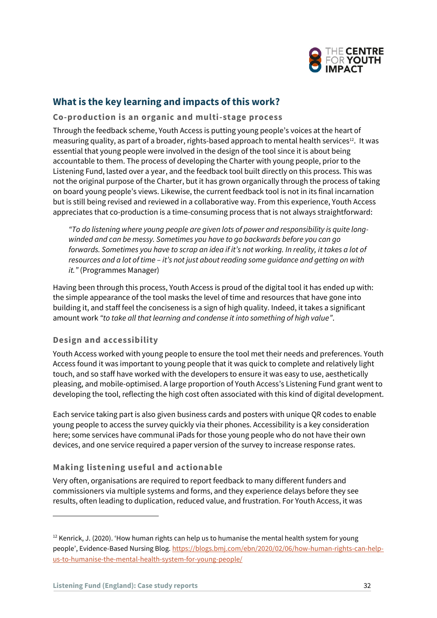

# **What is the key learning and impacts of this work?**

#### **Co-production is an organic and multi-stage process**

Through the feedback scheme, Youth Access is putting young people's voices at the heart of measuring quality, as part of a broader, rights-based approach to mental health services $^{\text{12}}$ . It was essential that young people were involved in the design of the tool since it is about being accountable to them. The process of developing the Charter with young people, prior to the Listening Fund, lasted over a year, and the feedback tool built directly on this process. This was not the original purpose of the Charter, but it has grown organically through the process of taking on board young people's views. Likewise, the current feedback tool is not in its final incarnation but is still being revised and reviewed in a collaborative way. From this experience, Youth Access appreciates that co-production is a time-consuming process that is not always straightforward:

*"To do listening where young people are given lots of power and responsibility is quite longwinded and can be messy. Sometimes you have to go backwards before you can go forwards. Sometimes you have to scrap an idea if it's not working. In reality, it takes a lot of resources and a lot of time – it's not just about reading some guidance and getting on with it."* (Programmes Manager)

Having been through this process, Youth Access is proud of the digital tool it has ended up with: the simple appearance of the tool masks the level of time and resources that have gone into building it, and staff feel the conciseness is a sign of high quality. Indeed, it takes a significant amount work *"to take all that learning and condense it into something of high value"*.

#### **Design and accessibility**

Youth Access worked with young people to ensure the tool met their needs and preferences. Youth Access found it was important to young people that it was quick to complete and relatively light touch, and so staff have worked with the developers to ensure it was easy to use, aesthetically pleasing, and mobile-optimised. A large proportion of Youth Access's Listening Fund grant went to developing the tool, reflecting the high cost often associated with this kind of digital development.

Each service taking part is also given business cards and posters with unique QR codes to enable young people to access the survey quickly via their phones. Accessibility is a key consideration here; some services have communal iPads for those young people who do not have their own devices, and one service required a paper version of the survey to increase response rates.

#### **Making listening useful and actionable**

Very often, organisations are required to report feedback to many different funders and commissioners via multiple systems and forms, and they experience delays before they see results, often leading to duplication, reduced value, and frustration. For Youth Access, it was

 $12$  Kenrick, J. (2020). 'How human rights can help us to humanise the mental health system for young people', Evidence-Based Nursing Blog[. https://blogs.bmj.com/ebn/2020/02/06/how-human-rights-can-help](https://blogs.bmj.com/ebn/2020/02/06/how-human-rights-can-help-us-to-humanise-the-mental-health-system-for-young-people/)[us-to-humanise-the-mental-health-system-for-young-people/](https://blogs.bmj.com/ebn/2020/02/06/how-human-rights-can-help-us-to-humanise-the-mental-health-system-for-young-people/)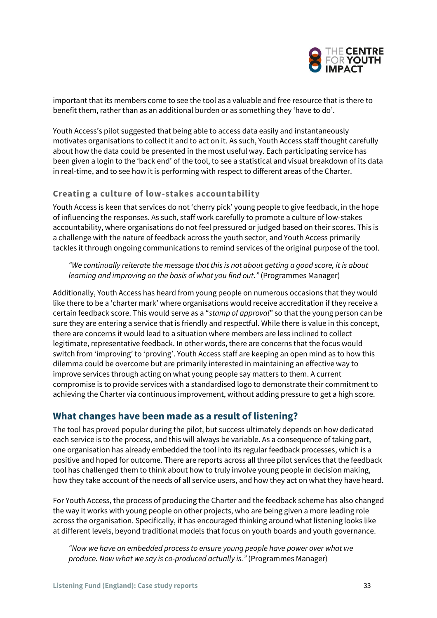

important that its members come to see the tool as a valuable and free resource that is there to benefit them, rather than as an additional burden or as something they 'have to do'.

Youth Access's pilot suggested that being able to access data easily and instantaneously motivates organisations to collect it and to act on it. As such, Youth Access staff thought carefully about how the data could be presented in the most useful way. Each participating service has been given a login to the 'back end' of the tool, to see a statistical and visual breakdown of its data in real-time, and to see how it is performing with respect to different areas of the Charter.

#### **Creating a culture of low-stakes accountability**

Youth Access is keen that services do not 'cherry pick' young people to give feedback, in the hope of influencing the responses. As such, staff work carefully to promote a culture of low-stakes accountability, where organisations do not feel pressured or judged based on their scores. This is a challenge with the nature of feedback across the youth sector, and Youth Access primarily tackles it through ongoing communications to remind services of the original purpose of the tool.

*"We continually reiterate the message that this is not about getting a good score, it is about learning and improving on the basis of what you find out."* (Programmes Manager)

Additionally, Youth Access has heard from young people on numerous occasions that they would like there to be a 'charter mark' where organisations would receive accreditation if they receive a certain feedback score. This would serve as a "*stamp of approval*" so that the young person can be sure they are entering a service that is friendly and respectful. While there is value in this concept, there are concerns it would lead to a situation where members are less inclined to collect legitimate, representative feedback. In other words, there are concerns that the focus would switch from 'improving' to 'proving'. Youth Access staff are keeping an open mind as to how this dilemma could be overcome but are primarily interested in maintaining an effective way to improve services through acting on what young people say matters to them. A current compromise is to provide services with a standardised logo to demonstrate their commitment to achieving the Charter via continuous improvement, without adding pressure to get a high score.

#### **What changes have been made as a result of listening?**

The tool has proved popular during the pilot, but success ultimately depends on how dedicated each service is to the process, and this will always be variable. As a consequence of taking part, one organisation has already embedded the tool into its regular feedback processes, which is a positive and hoped for outcome. There are reports across all three pilot services that the feedback tool has challenged them to think about how to truly involve young people in decision making, how they take account of the needs of all service users, and how they act on what they have heard.

For Youth Access, the process of producing the Charter and the feedback scheme has also changed the way it works with young people on other projects, who are being given a more leading role across the organisation. Specifically, it has encouraged thinking around what listening looks like at different levels, beyond traditional models that focus on youth boards and youth governance.

*"Now we have an embedded process to ensure young people have power over what we produce. Now what we say is co-produced actually is."* (Programmes Manager)